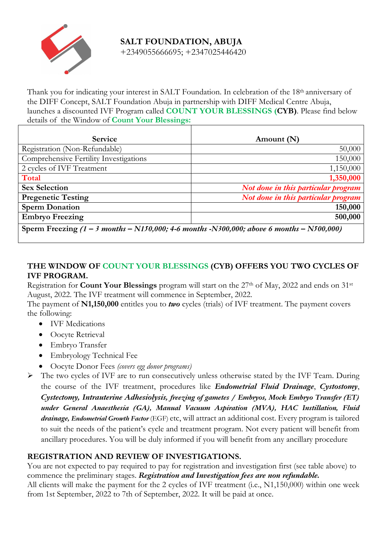

**SALT FOUNDATION, ABUJA** +2349055666695; +2347025446420

Thank you for indicating your interest in SALT Foundation. In celebration of the 18th anniversary of the DIFF Concept, SALT Foundation Abuja in partnership with DIFF Medical Centre Abuja, launches a discounted IVF Program called **COUNT YOUR BLESSINGS (CYB)**. Please find below details of the Window of **Count Your Blessings:**

| <b>Service</b>                         | Amount (N)                          |
|----------------------------------------|-------------------------------------|
| Registration (Non-Refundable)          | 50,000                              |
| Comprehensive Fertility Investigations | 150,000                             |
| 2 cycles of IVF Treatment              | 1,150,000                           |
| Total                                  | 1,350,000                           |
| <b>Sex Selection</b>                   | Not done in this particular program |
| <b>Pregenetic Testing</b>              | Not done in this particular program |
| <b>Sperm Donation</b>                  | 150,000                             |
| <b>Embryo Freezing</b>                 | 500,000                             |

**Sperm Freezing** *(1 – 3 months – N150,000; 4-6 months -N300,000; above 6 months – N500,000)*

## **THE WINDOW OF COUNT YOUR BLESSINGS (CYB) OFFERS YOU TWO CYCLES OF IVF PROGRAM.**

Registration for **Count Your Blessings** program will start on the 27<sup>th</sup> of May, 2022 and ends on 31<sup>st</sup> August, 2022. The IVF treatment will commence in September, 2022.

The payment of **N1,150,000** entitles you to *two* cycles (trials) of IVF treatment. The payment covers the following:

- IVF Medications
- Oocyte Retrieval
- Embryo Transfer
- Embryology Technical Fee
- Oocyte Donor Fees *(covers egg donor programs)*

Ø The two cycles of IVF are to run consecutively unless otherwise stated by the IVF Team. During the course of the IVF treatment, procedures like *Endometrial Fluid Drainage*, *Cystostomy*, *Cystectomy, Intrauterine Adhesiolysis, freezing of gametes / Embryos, Mock Embryo Transfer (ET) under General Anaesthesia (GA), Manual Vacuum Aspiration (MVA), HAC Instillation, Fluid drainage, Endometrial Growth Factor* (EGF) etc, will attract an additional cost. Every program is tailored to suit the needs of the patient's cycle and treatment program. Not every patient will benefit from ancillary procedures. You will be duly informed if you will benefit from any ancillary procedure

## **REGISTRATION AND REVIEW OF INVESTIGATIONS.**

You are not expected to pay required to pay for registration and investigation first (see table above) to commence the preliminary stages. *Registration and Investigation fees are non refundable.* All clients will make the payment for the 2 cycles of IVF treatment (i.e., N1,150,000) within one week from 1st September, 2022 to 7th of September, 2022. It will be paid at once.